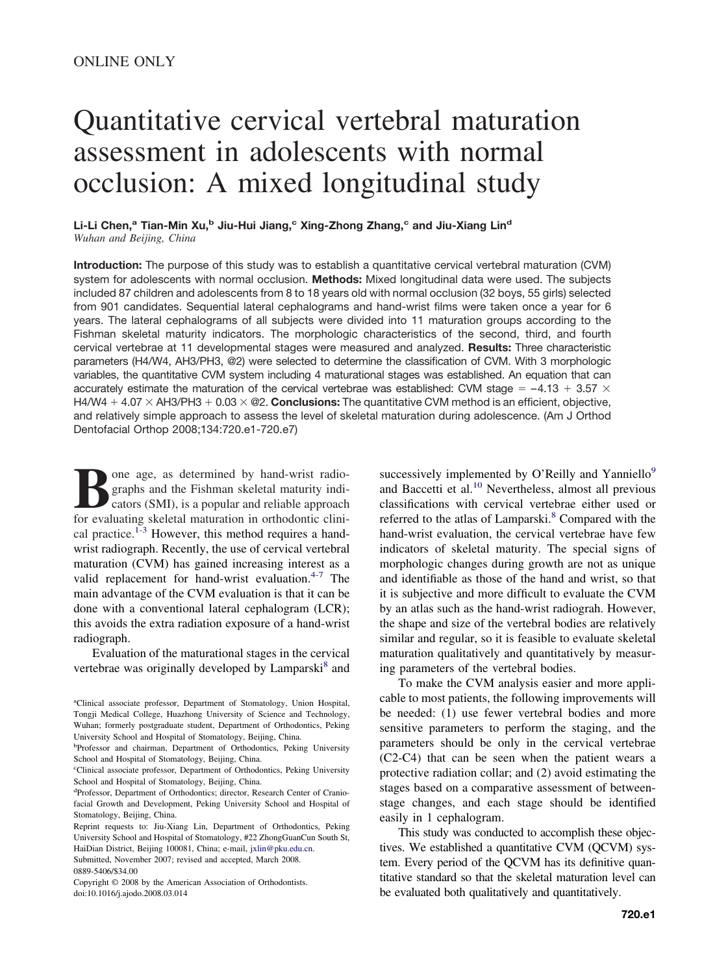# Quantitative cervical vertebral maturation assessment in adolescents with normal occlusion: A mixed longitudinal study

Li-Li Chen,<sup>a</sup> Tian-Min Xu,<sup>b</sup> Jiu-Hui Jiang,<sup>c</sup> Xing-Zhong Zhang,<sup>c</sup> and Jiu-Xiang Lin<sup>d</sup> *Wuhan and Beijing, China*

**Introduction:** The purpose of this study was to establish a quantitative cervical vertebral maturation (CVM) system for adolescents with normal occlusion. **Methods:** Mixed longitudinal data were used. The subjects included 87 children and adolescents from 8 to 18 years old with normal occlusion (32 boys, 55 girls) selected from 901 candidates. Sequential lateral cephalograms and hand-wrist films were taken once a year for 6 years. The lateral cephalograms of all subjects were divided into 11 maturation groups according to the Fishman skeletal maturity indicators. The morphologic characteristics of the second, third, and fourth cervical vertebrae at 11 developmental stages were measured and analyzed. **Results:** Three characteristic parameters (H4/W4, AH3/PH3, @2) were selected to determine the classification of CVM. With 3 morphologic variables, the quantitative CVM system including 4 maturational stages was established. An equation that can accurately estimate the maturation of the cervical vertebrae was established: CVM stage = -4.13 + 3.57  $\times$ H4/W4 + 4.07  $\times$  AH3/PH3 + 0.03  $\times$  @2. **Conclusions:** The quantitative CVM method is an efficient, objective, and relatively simple approach to assess the level of skeletal maturation during adolescence. (Am J Orthod Dentofacial Orthop 2008;134:720.e1-720.e7)

**Bone age, as determined by hand-wrist radio-<br>graphs and the Fishman skeletal maturity indi-<br>cators (SMI), is a popular and reliable approach<br>for evaluating skeletal maturation in orthodontic clini**graphs and the Fishman skeletal maturity indicators (SMI), is a popular and reliable approach for evaluating skeletal maturation in orthodontic clini-cal practice.<sup>[1-3](#page-5-0)</sup> However, this method requires a handwrist radiograph. Recently, the use of cervical vertebral maturation (CVM) has gained increasing interest as a valid replacement for hand-wrist evaluation. $4-7$  The main advantage of the CVM evaluation is that it can be done with a conventional lateral cephalogram (LCR); this avoids the extra radiation exposure of a hand-wrist radiograph.

Evaluation of the maturational stages in the cervical vertebrae was originally developed by Lamparski<sup>[8](#page-6-0)</sup> and successively implemented by O'Reilly and Yanniello<sup>9</sup> and Baccetti et al[.10](#page-6-0) Nevertheless, almost all previous classifications with cervical vertebrae either used or referred to the atlas of Lamparski.<sup>8</sup> Compared with the hand-wrist evaluation, the cervical vertebrae have few indicators of skeletal maturity. The special signs of morphologic changes during growth are not as unique and identifiable as those of the hand and wrist, so that it is subjective and more difficult to evaluate the CVM by an atlas such as the hand-wrist radiograh. However, the shape and size of the vertebral bodies are relatively similar and regular, so it is feasible to evaluate skeletal maturation qualitatively and quantitatively by measuring parameters of the vertebral bodies.

To make the CVM analysis easier and more applicable to most patients, the following improvements will be needed: (1) use fewer vertebral bodies and more sensitive parameters to perform the staging, and the parameters should be only in the cervical vertebrae (C2-C4) that can be seen when the patient wears a protective radiation collar; and (2) avoid estimating the stages based on a comparative assessment of betweenstage changes, and each stage should be identified easily in 1 cephalogram.

This study was conducted to accomplish these objectives. We established a quantitative CVM (QCVM) system. Every period of the QCVM has its definitive quantitative standard so that the skeletal maturation level can be evaluated both qualitatively and quantitatively.

<sup>&</sup>lt;sup>a</sup>Clinical associate professor, Department of Stomatology, Union Hospital, Tongji Medical College, Huazhong University of Science and Technology, Wuhan; formerly postgraduate student, Department of Orthodontics, Peking University School and Hospital of Stomatology, Beijing, China.

<sup>&</sup>lt;sup>b</sup>Professor and chairman, Department of Orthodontics, Peking University School and Hospital of Stomatology, Beijing, China.

c Clinical associate professor, Department of Orthodontics, Peking University School and Hospital of Stomatology, Beijing, China.

d Professor, Department of Orthodontics; director, Research Center of Craniofacial Growth and Development, Peking University School and Hospital of Stomatology, Beijing, China.

Reprint requests to: Jiu-Xiang Lin, Department of Orthodontics, Peking University School and Hospital of Stomatology, #22 ZhongGuanCun South St, HaiDian District, Beijing 100081, China; e-mail, [jxlin@pku.edu.cn.](mailto:jxlin@pku.edu.cn)

Submitted, November 2007; revised and accepted, March 2008. 0889-5406/\$34.00

Copyright © 2008 by the American Association of Orthodontists. doi:10.1016/j.ajodo.2008.03.014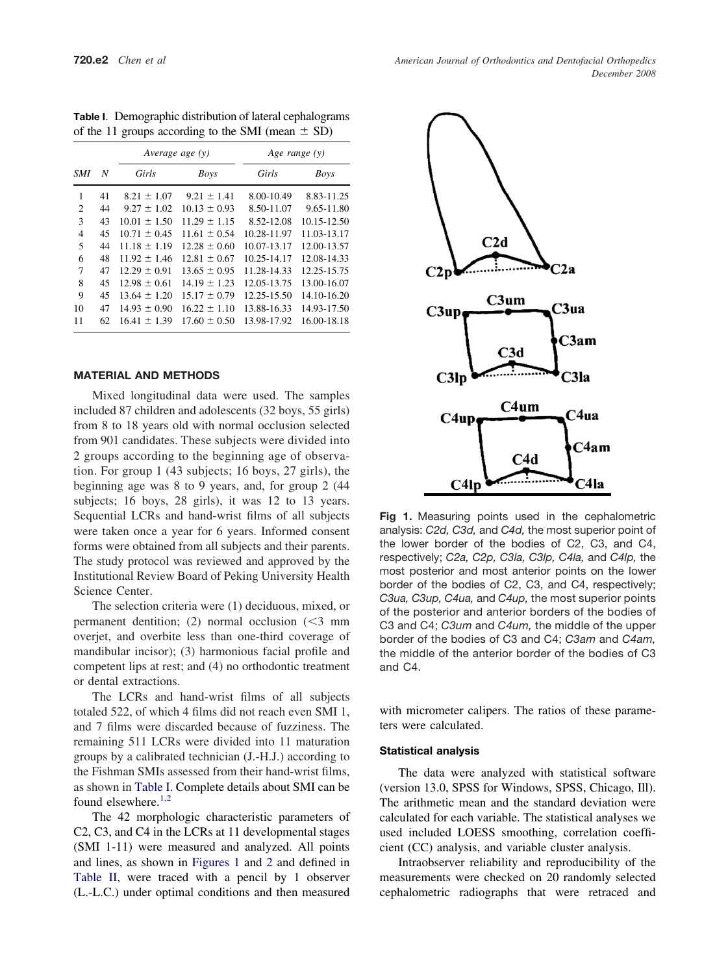|                |    | Average age $(y)$ |                  | Age range $(y)$ |             |
|----------------|----|-------------------|------------------|-----------------|-------------|
| SMI            | N  | Girls             | <b>Boys</b>      | Girls           | <b>Boys</b> |
| 1              | 41 | $8.21 \pm 1.07$   | $9.21 \pm 1.41$  | 8.00-10.49      | 8.83-11.25  |
| $\overline{c}$ | 44 | $9.27 \pm 1.02$   | $10.13 \pm 0.93$ | 8.50-11.07      | 9.65-11.80  |
| 3              | 43 | $10.01 \pm 1.50$  | $11.29 \pm 1.15$ | 8.52-12.08      | 10.15-12.50 |
| 4              | 45 | $10.71 \pm 0.45$  | $11.61 \pm 0.54$ | 10.28-11.97     | 11.03-13.17 |
| 5              | 44 | $11.18 \pm 1.19$  | $12.28 \pm 0.60$ | 10.07-13.17     | 12.00-13.57 |
| 6              | 48 | $11.92 \pm 1.46$  | $12.81 \pm 0.67$ | 10.25-14.17     | 12.08-14.33 |
| 7              | 47 | $12.29 \pm 0.91$  | $13.65 \pm 0.95$ | 11.28-14.33     | 12.25-15.75 |
| 8              | 45 | $12.98 \pm 0.61$  | $14.19 \pm 1.23$ | 12.05-13.75     | 13.00-16.07 |
| 9              | 45 | $13.64 \pm 1.20$  | $15.17 \pm 0.79$ | 12.25-15.50     | 14.10-16.20 |
| 10             | 47 | $14.93 \pm 0.90$  | $16.22 \pm 1.10$ | 13.88-16.33     | 14.93-17.50 |
| 11             | 62 | $16.41 \pm 1.39$  | $17.60 \pm 0.50$ | 13.98-17.92     | 16.00-18.18 |

**Table I**. Demographic distribution of lateral cephalograms of the 11 groups according to the SMI (mean  $\pm$  SD)

#### **MATERIAL AND METHODS**

Mixed longitudinal data were used. The samples included 87 children and adolescents (32 boys, 55 girls) from 8 to 18 years old with normal occlusion selected from 901 candidates. These subjects were divided into 2 groups according to the beginning age of observation. For group 1 (43 subjects; 16 boys, 27 girls), the beginning age was 8 to 9 years, and, for group 2 (44 subjects; 16 boys, 28 girls), it was 12 to 13 years. Sequential LCRs and hand-wrist films of all subjects were taken once a year for 6 years. Informed consent forms were obtained from all subjects and their parents. The study protocol was reviewed and approved by the Institutional Review Board of Peking University Health Science Center.

The selection criteria were (1) deciduous, mixed, or permanent dentition; (2) normal occlusion  $\leq 3$  mm overjet, and overbite less than one-third coverage of mandibular incisor); (3) harmonious facial profile and competent lips at rest; and (4) no orthodontic treatment or dental extractions.

The LCRs and hand-wrist films of all subjects totaled 522, of which 4 films did not reach even SMI 1, and 7 films were discarded because of fuzziness. The remaining 511 LCRs were divided into 11 maturation groups by a calibrated technician (J.-H.J.) according to the Fishman SMIs assessed from their hand-wrist films, as shown in Table I. Complete details about SMI can be found elsewhere.<sup>[1,2](#page-5-0)</sup>

The 42 morphologic characteristic parameters of C2, C3, and C4 in the LCRs at 11 developmental stages (SMI 1-11) were measured and analyzed. All points and lines, as shown in Figures 1 and [2](#page-2-0) and defined in [Table II,](#page-3-0) were traced with a pencil by 1 observer (L.-L.C.) under optimal conditions and then measured



**Fig 1.** Measuring points used in the cephalometric analysis: *C2d, C3d,* and *C4d,* the most superior point of the lower border of the bodies of C2, C3, and C4, respectively; *C2a, C2p, C3la, C3lp, C4la,* and *C4lp,* the most posterior and most anterior points on the lower border of the bodies of C2, C3, and C4, respectively; *C3ua, C3up, C4ua,* and *C4up,* the most superior points of the posterior and anterior borders of the bodies of C3 and C4; *C3um* and *C4um,* the middle of the upper border of the bodies of C3 and C4; *C3am* and *C4am,* the middle of the anterior border of the bodies of C3 and C4.

with micrometer calipers. The ratios of these parameters were calculated.

#### **Statistical analysis**

The data were analyzed with statistical software (version 13.0, SPSS for Windows, SPSS, Chicago, Ill). The arithmetic mean and the standard deviation were calculated for each variable. The statistical analyses we used included LOESS smoothing, correlation coefficient (CC) analysis, and variable cluster analysis.

Intraobserver reliability and reproducibility of the measurements were checked on 20 randomly selected cephalometric radiographs that were retraced and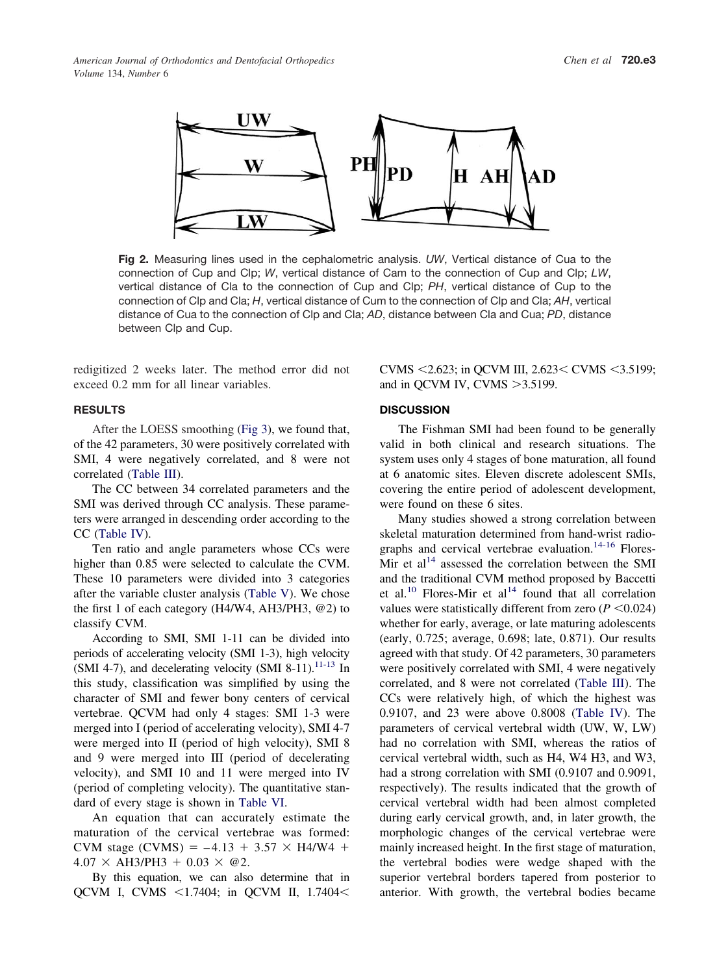<span id="page-2-0"></span>

**Fig 2.** Measuring lines used in the cephalometric analysis. *UW*, Vertical distance of Cua to the connection of Cup and Clp; *W*, vertical distance of Cam to the connection of Cup and Clp; *LW*, vertical distance of Cla to the connection of Cup and Clp; *PH*, vertical distance of Cup to the connection of Clp and Cla; *H*, vertical distance of Cum to the connection of Clp and Cla; *AH*, vertical distance of Cua to the connection of Clp and Cla; *AD*, distance between Cla and Cua; *PD*, distance between Clp and Cup.

redigitized 2 weeks later. The method error did not exceed 0.2 mm for all linear variables.

## **RESULTS**

After the LOESS smoothing [\(Fig 3\)](#page-4-0), we found that, of the 42 parameters, 30 were positively correlated with SMI, 4 were negatively correlated, and 8 were not correlated [\(Table III\)](#page-4-0).

The CC between 34 correlated parameters and the SMI was derived through CC analysis. These parameters were arranged in descending order according to the CC [\(Table IV\)](#page-4-0).

Ten ratio and angle parameters whose CCs were higher than 0.85 were selected to calculate the CVM. These 10 parameters were divided into 3 categories after the variable cluster analysis [\(Table V\)](#page-4-0). We chose the first 1 of each category (H4/W4, AH3/PH3, @2) to classify CVM.

According to SMI, SMI 1-11 can be divided into periods of accelerating velocity (SMI 1-3), high velocity (SMI 4-7), and decelerating velocity (SMI 8-11).<sup>11-13</sup> In this study, classification was simplified by using the character of SMI and fewer bony centers of cervical vertebrae. QCVM had only 4 stages: SMI 1-3 were merged into I (period of accelerating velocity), SMI 4-7 were merged into II (period of high velocity), SMI 8 and 9 were merged into III (period of decelerating velocity), and SMI 10 and 11 were merged into IV (period of completing velocity). The quantitative standard of every stage is shown in [Table VI.](#page-4-0)

An equation that can accurately estimate the maturation of the cervical vertebrae was formed: CVM stage (CVMS) =  $-4.13 + 3.57 \times H4/W4 +$  $4.07 \times AH3/PH3 + 0.03 \times @2.$ 

By this equation, we can also determine that in QCVM I, CVMS <1.7404; in QCVM II, 1.7404<

CVMS  $\leq$ 2.623; in QCVM III, 2.623 $\leq$  CVMS  $\leq$ 3.5199; and in QCVM IV, CVMS  $>3.5199$ .

## **DISCUSSION**

The Fishman SMI had been found to be generally valid in both clinical and research situations. The system uses only 4 stages of bone maturation, all found at 6 anatomic sites. Eleven discrete adolescent SMIs, covering the entire period of adolescent development, were found on these 6 sites.

Many studies showed a strong correlation between skeletal maturation determined from hand-wrist radio-graphs and cervical vertebrae evaluation.<sup>[14-16](#page-6-0)</sup> Flores-Mir et  $al<sup>14</sup>$  $al<sup>14</sup>$  $al<sup>14</sup>$  assessed the correlation between the SMI and the traditional CVM method proposed by Baccetti et al.<sup>[10](#page-6-0)</sup> Flores-Mir et al<sup>[14](#page-6-0)</sup> found that all correlation values were statistically different from zero  $(P \le 0.024)$ whether for early, average, or late maturing adolescents (early, 0.725; average, 0.698; late, 0.871). Our results agreed with that study. Of 42 parameters, 30 parameters were positively correlated with SMI, 4 were negatively correlated, and 8 were not correlated [\(Table III\)](#page-4-0). The CCs were relatively high, of which the highest was 0.9107, and 23 were above 0.8008 [\(Table IV\)](#page-4-0). The parameters of cervical vertebral width (UW, W, LW) had no correlation with SMI, whereas the ratios of cervical vertebral width, such as H4, W4 H3, and W3, had a strong correlation with SMI (0.9107 and 0.9091, respectively). The results indicated that the growth of cervical vertebral width had been almost completed during early cervical growth, and, in later growth, the morphologic changes of the cervical vertebrae were mainly increased height. In the first stage of maturation, the vertebral bodies were wedge shaped with the superior vertebral borders tapered from posterior to anterior. With growth, the vertebral bodies became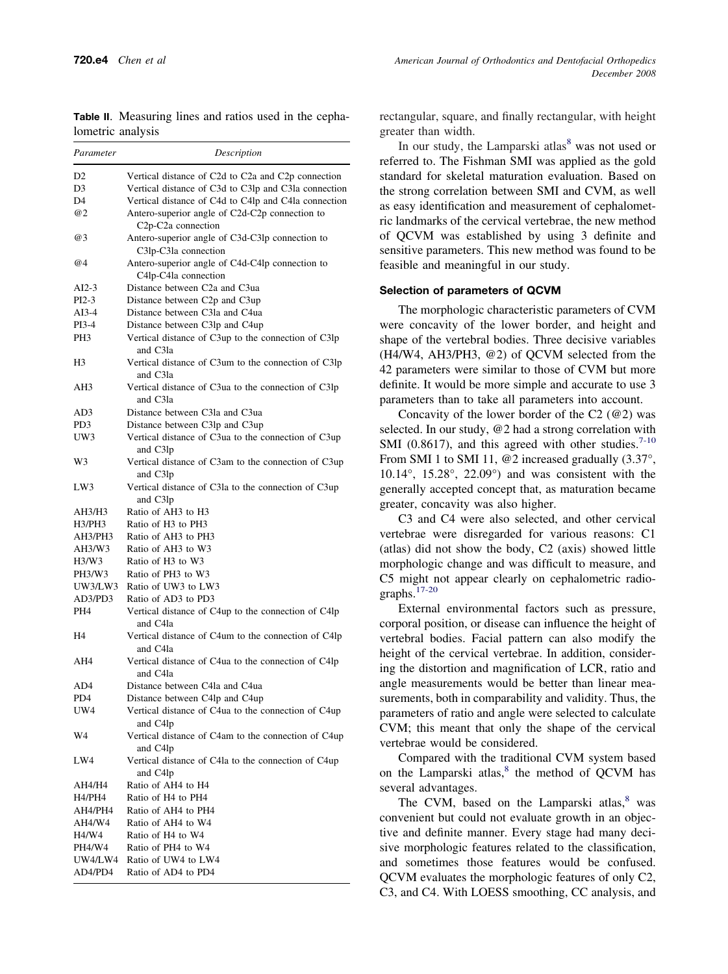| Parameter       | Description                                                                                    |  |
|-----------------|------------------------------------------------------------------------------------------------|--|
| D2              | Vertical distance of C2d to C2a and C2p connection                                             |  |
| D3              | Vertical distance of C3d to C3lp and C3la connection                                           |  |
| D4              | Vertical distance of C4d to C4lp and C4la connection                                           |  |
| @2              | Antero-superior angle of C2d-C2p connection to<br>C <sub>2p</sub> -C <sub>2</sub> a connection |  |
| @3              | Antero-superior angle of C3d-C3lp connection to<br>C3lp-C3la connection                        |  |
| @4              | Antero-superior angle of C4d-C4lp connection to<br>C4lp-C4la connection                        |  |
| AI2-3           | Distance between C2a and C3ua                                                                  |  |
| PI2-3           | Distance between C2p and C3up                                                                  |  |
| AI3-4           | Distance between C3la and C4ua                                                                 |  |
| PI3-4           | Distance between C3lp and C4up                                                                 |  |
| PH3             | Vertical distance of C3up to the connection of C3lp<br>and C3la                                |  |
| H3              | Vertical distance of C3um to the connection of C3lp<br>and C3la                                |  |
| AH3             | Vertical distance of C3ua to the connection of C3lp<br>and C3la                                |  |
| AD3             | Distance between C3la and C3ua                                                                 |  |
| PD3             | Distance between C3lp and C3up                                                                 |  |
| UW3             | Vertical distance of C3ua to the connection of C3up<br>and C3lp                                |  |
| W3              | Vertical distance of C3am to the connection of C3up<br>and C3lp                                |  |
| LW3             | Vertical distance of C3la to the connection of C3up<br>and C3lp                                |  |
| AH3/H3          | Ratio of AH3 to H3                                                                             |  |
| H3/PH3          | Ratio of H <sub>3</sub> to PH <sub>3</sub>                                                     |  |
| AH3/PH3         | Ratio of AH3 to PH3                                                                            |  |
| AH3/W3          | Ratio of AH3 to W3                                                                             |  |
| H3/W3           | Ratio of H <sub>3</sub> to W <sub>3</sub>                                                      |  |
| PH3/W3          | Ratio of PH3 to W3                                                                             |  |
| UW3/LW3         | Ratio of UW3 to LW3                                                                            |  |
| AD3/PD3         | Ratio of AD3 to PD3                                                                            |  |
| PH <sub>4</sub> | Vertical distance of C4up to the connection of C4lp<br>and C4la                                |  |
| H4              | Vertical distance of C4um to the connection of C4lp<br>and C4la                                |  |
| AH4             | Vertical distance of C4ua to the connection of C4lp<br>and C4la                                |  |
| AD4             | Distance between C4la and C4ua                                                                 |  |
| PD <sub>4</sub> | Distance between C4lp and C4up                                                                 |  |
| UW4             | Vertical distance of C4ua to the connection of C4up<br>and C4lp                                |  |
| W4              | Vertical distance of C4am to the connection of C4up<br>and C4lp                                |  |
| LW4             | Vertical distance of C4la to the connection of C4up<br>and C4lp                                |  |
| AH4/H4          | Ratio of AH4 to H4                                                                             |  |
| H4/PH4          | Ratio of H4 to PH4                                                                             |  |
| AH4/PH4         | Ratio of AH4 to PH4                                                                            |  |
| AH4/W4          | Ratio of AH4 to W4                                                                             |  |
| H4/W4           | Ratio of H4 to W4                                                                              |  |
| PH4/W4          | Ratio of PH4 to W4                                                                             |  |
| UW4/LW4         | Ratio of UW4 to LW4                                                                            |  |
|                 | AD4/PD4 Ratio of AD4 to PD4                                                                    |  |

<span id="page-3-0"></span>**Table II**. Measuring lines and ratios used in the cephalometric analysis

rectangular, square, and finally rectangular, with height greater than width.

In our study, the Lamparski atlas $8$  was not used or referred to. The Fishman SMI was applied as the gold standard for skeletal maturation evaluation. Based on the strong correlation between SMI and CVM, as well as easy identification and measurement of cephalometric landmarks of the cervical vertebrae, the new method of QCVM was established by using 3 definite and sensitive parameters. This new method was found to be feasible and meaningful in our study.

### **Selection of parameters of QCVM**

The morphologic characteristic parameters of CVM were concavity of the lower border, and height and shape of the vertebral bodies. Three decisive variables (H4/W4, AH3/PH3, @2) of QCVM selected from the 42 parameters were similar to those of CVM but more definite. It would be more simple and accurate to use 3 parameters than to take all parameters into account.

Concavity of the lower border of the  $C2$  ( $@2$ ) was selected. In our study, @2 had a strong correlation with SMI (0.8617), and this agreed with other studies.<sup>[7-10](#page-6-0)</sup> From SMI 1 to SMI 11, @2 increased gradually (3.37°, 10.14°, 15.28°, 22.09°) and was consistent with the generally accepted concept that, as maturation became greater, concavity was also higher.

C3 and C4 were also selected, and other cervical vertebrae were disregarded for various reasons: C1 (atlas) did not show the body, C2 (axis) showed little morphologic change and was difficult to measure, and C5 might not appear clearly on cephalometric radiographs.[17-20](#page-6-0)

External environmental factors such as pressure, corporal position, or disease can influence the height of vertebral bodies. Facial pattern can also modify the height of the cervical vertebrae. In addition, considering the distortion and magnification of LCR, ratio and angle measurements would be better than linear measurements, both in comparability and validity. Thus, the parameters of ratio and angle were selected to calculate CVM; this meant that only the shape of the cervical vertebrae would be considered.

Compared with the traditional CVM system based on the Lamparski atlas,<sup>[8](#page-6-0)</sup> the method of QCVM has several advantages.

The CVM, based on the Lamparski atlas,<sup>[8](#page-6-0)</sup> was convenient but could not evaluate growth in an objective and definite manner. Every stage had many decisive morphologic features related to the classification, and sometimes those features would be confused. QCVM evaluates the morphologic features of only C2, C3, and C4. With LOESS smoothing, CC analysis, and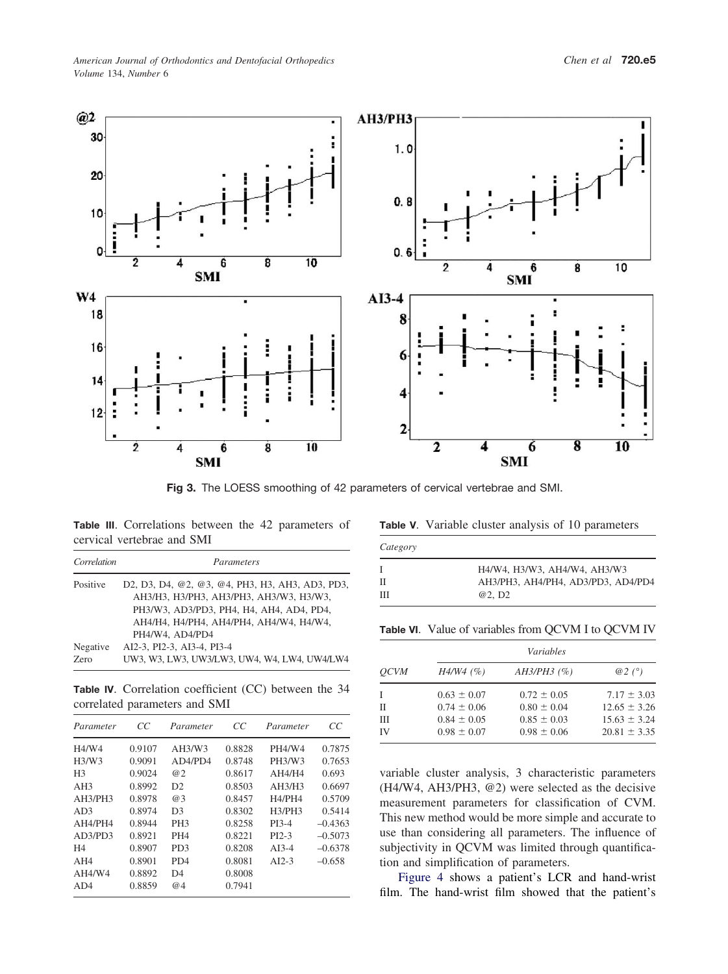<span id="page-4-0"></span>

**Fig 3.** The LOESS smoothing of 42 parameters of cervical vertebrae and SMI.

**Table III**. Correlations between the 42 parameters of cervical vertebrae and SMI

| Correlation | Parameters                                      |
|-------------|-------------------------------------------------|
| Positive    | D2, D3, D4, @2, @3, @4, PH3, H3, AH3, AD3, PD3, |
|             | AH3/H3, H3/PH3, AH3/PH3, AH3/W3, H3/W3,         |
|             | PH3/W3, AD3/PD3, PH4, H4, AH4, AD4, PD4,        |
|             | АН4/Н4, Н4/РН4, АН4/РН4, АН4/W4, Н4/W4,         |
|             | PH4/W4, AD4/PD4                                 |
| Negative    | AI2-3, PI2-3, AI3-4, PI3-4                      |
| Zero        | UW3, W3, LW3, UW3/LW3, UW4, W4, LW4, UW4/LW4    |

**Table IV**. Correlation coefficient (CC) between the 34 correlated parameters and SMI

| Parameter                      | CC     | Parameter                   | CC     | Parameter          | CC        |
|--------------------------------|--------|-----------------------------|--------|--------------------|-----------|
| H4/W4                          | 0.9107 | AH3/W3                      | 0.8828 | <b>PH4/W4</b>      | 0.7875    |
| H <sub>3</sub> /W <sub>3</sub> | 0.9091 | AD4/PD4                     | 0.8748 | PH3/W3             | 0.7653    |
| H <sub>3</sub>                 | 0.9024 | @2                          | 0.8617 | AH4/H4             | 0.693     |
| AH3                            | 0.8992 | D <sub>2</sub>              | 0.8503 | AH3/H3             | 0.6697    |
| AH3/PH3                        | 0.8978 | @3                          | 0.8457 | H4/PH4             | 0.5709    |
| AD <sub>3</sub>                | 0.8974 | D <sub>3</sub>              | 0.8302 | H3/PH3             | 0.5414    |
| AH4/PH4                        | 0.8944 | PH <sub>3</sub>             | 0.8258 | PI3-4              | $-0.4363$ |
| AD3/PD3                        | 0.8921 | PH <sub>4</sub>             | 0.8221 | PI <sub>2</sub> -3 | $-0.5073$ |
| H4                             | 0.8907 | PD <sub>3</sub>             | 0.8208 | $AI3-4$            | $-0.6378$ |
| AH4                            | 0.8901 | P <sub>D</sub> <sub>4</sub> | 0.8081 | $AI2-3$            | $-0.658$  |
| AH4/W4                         | 0.8892 | D <sub>4</sub>              | 0.8008 |                    |           |
| AD4                            | 0.8859 | @4                          | 0.7941 |                    |           |

| Table V. Variable cluster analysis of 10 parameters |  |  |
|-----------------------------------------------------|--|--|
|-----------------------------------------------------|--|--|

| Category |                                    |  |  |  |
|----------|------------------------------------|--|--|--|
| T        | H4/W4, H3/W3, AH4/W4, AH3/W3       |  |  |  |
| Н        | AH3/PH3, AH4/PH4, AD3/PD3, AD4/PD4 |  |  |  |
| Ш        | @2, D <sub>2</sub>                 |  |  |  |

Table VI. Value of variables from QCVM I to QCVM IV

|             |                 | <i>Variables</i> |                  |  |
|-------------|-----------------|------------------|------------------|--|
| <i>OCVM</i> | $H4/W4$ (%)     | $AH3/PH3$ (%)    | $@2(^{\circ})$   |  |
|             | $0.63 \pm 0.07$ | $0.72 \pm 0.05$  | $7.17 \pm 3.03$  |  |
| П           | $0.74 \pm 0.06$ | $0.80 \pm 0.04$  | $12.65 \pm 3.26$ |  |
| Ш           | $0.84 \pm 0.05$ | $0.85 \pm 0.03$  | $15.63 \pm 3.24$ |  |
| IV          | $0.98 \pm 0.07$ | $0.98 \pm 0.06$  | $20.81 \pm 3.35$ |  |

variable cluster analysis, 3 characteristic parameters (H4/W4, AH3/PH3, @2) were selected as the decisive measurement parameters for classification of CVM. This new method would be more simple and accurate to use than considering all parameters. The influence of subjectivity in QCVM was limited through quantification and simplification of parameters.

[Figure 4](#page-5-0) shows a patient's LCR and hand-wrist film. The hand-wrist film showed that the patient's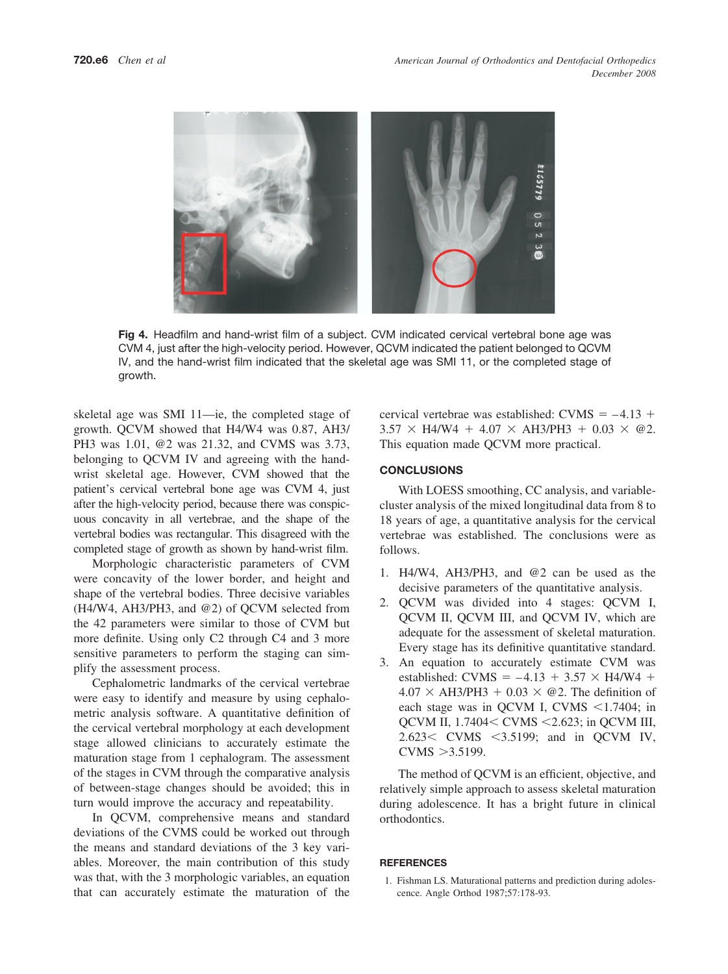<span id="page-5-0"></span>

**Fig 4.** Headfilm and hand-wrist film of a subject. CVM indicated cervical vertebral bone age was CVM 4, just after the high-velocity period. However, QCVM indicated the patient belonged to QCVM IV, and the hand-wrist film indicated that the skeletal age was SMI 11, or the completed stage of growth.

skeletal age was SMI 11—ie, the completed stage of growth. QCVM showed that H4/W4 was 0.87, AH3/ PH3 was 1.01, @2 was 21.32, and CVMS was 3.73, belonging to QCVM IV and agreeing with the handwrist skeletal age. However, CVM showed that the patient's cervical vertebral bone age was CVM 4, just after the high-velocity period, because there was conspicuous concavity in all vertebrae, and the shape of the vertebral bodies was rectangular. This disagreed with the completed stage of growth as shown by hand-wrist film.

Morphologic characteristic parameters of CVM were concavity of the lower border, and height and shape of the vertebral bodies. Three decisive variables (H4/W4, AH3/PH3, and @2) of QCVM selected from the 42 parameters were similar to those of CVM but more definite. Using only C2 through C4 and 3 more sensitive parameters to perform the staging can simplify the assessment process.

Cephalometric landmarks of the cervical vertebrae were easy to identify and measure by using cephalometric analysis software. A quantitative definition of the cervical vertebral morphology at each development stage allowed clinicians to accurately estimate the maturation stage from 1 cephalogram. The assessment of the stages in CVM through the comparative analysis of between-stage changes should be avoided; this in turn would improve the accuracy and repeatability.

In QCVM, comprehensive means and standard deviations of the CVMS could be worked out through the means and standard deviations of the 3 key variables. Moreover, the main contribution of this study was that, with the 3 morphologic variables, an equation that can accurately estimate the maturation of the

cervical vertebrae was established: CVMS  $= -4.13 +$  $3.57 \times$  H4/W4 + 4.07  $\times$  AH3/PH3 + 0.03  $\times$  @2. This equation made QCVM more practical.

## **CONCLUSIONS**

With LOESS smoothing, CC analysis, and variablecluster analysis of the mixed longitudinal data from 8 to 18 years of age, a quantitative analysis for the cervical vertebrae was established. The conclusions were as follows.

- 1. H4/W4, AH3/PH3, and @2 can be used as the decisive parameters of the quantitative analysis.
- 2. QCVM was divided into 4 stages: QCVM I, QCVM II, QCVM III, and QCVM IV, which are adequate for the assessment of skeletal maturation. Every stage has its definitive quantitative standard.
- 3. An equation to accurately estimate CVM was established: CVMS =  $-4.13 + 3.57 \times H4/W4 +$  $4.07 \times AH3$ /PH3 + 0.03  $\times$  @2. The definition of each stage was in QCVM I, CVMS  $\leq 1.7404$ ; in QCVM II, 1.7404< CVMS <2.623; in QCVM III, 2.623< CVMS <3.5199; and in QCVM IV,  $CVMS > 3.5199$ .

The method of QCVM is an efficient, objective, and relatively simple approach to assess skeletal maturation during adolescence. It has a bright future in clinical orthodontics.

## **REFERENCES**

1. Fishman LS. Maturational patterns and prediction during adolescence. Angle Orthod 1987;57:178-93.